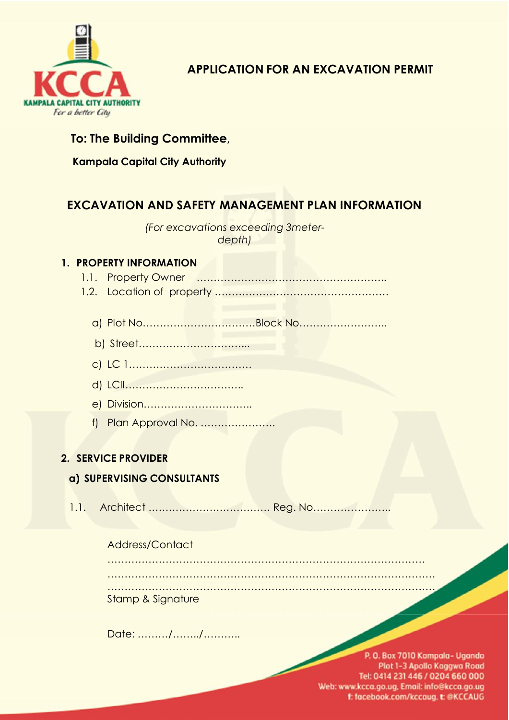

**APPLICATION FOR AN EXCAVATION PERMIT**

# **To: The Building Committee,**

**Kampala Capital City Authority**

# **EXCAVATION AND SAFETY MANAGEMENT PLAN INFORMATION**

*(For excavations exceeding 3meter depth)*

### **1. PROPERTY INFORMATION**

- 1.1. Property Owner ………………………………………………..
- 1.2. Location of property ……………………………………………
	- a) Plot No……………………………Block No……………………..
	- b) Street…………………………...
	- c) LC 1………………………………
	- d) LCII……………………………..
	- e) Division…………………………..
	- f) Plan Approval No. ………………….

## **2. SERVICE PROVIDER**

## **a) SUPERVISING CONSULTANTS**

1.1. Architect ……………………………… Reg. No…………………..

#### Address/Contact

| Stamp & Signature |  |
|-------------------|--|

Date: ………/……../………..

<sup>1</sup>*uance o an excava on pe <sup>m</sup> ha be done on <sup>y</sup> <sup>a</sup> <sup>e</sup> <sup>P</sup> ann ng and Bu <sup>d</sup> ng app ova Issuance of an excavation permit shall be done only after Planning and Building approval* Tel: 0414 231 446 / 0204 660 000 Web: www.kcca.go.ug, Email: info@kcca.go.ug f: facebook.com/kccaug, t: @KCCAUG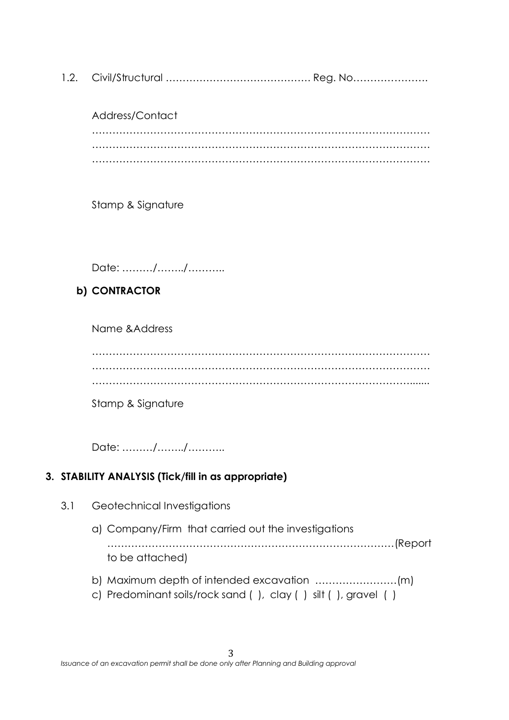1.2. Civil/Structural ……………………………………. Reg. No………………….

Address/Contact ……………………………………………………………………………………… ……………………………………………………………………………………… ………………………………………………………………………………………

Stamp & Signature

Date: ………/……../………..

### **b) CONTRACTOR**

Name &Address

……………………………………………………………………………………… ……………………………………………………………………………………… ………………………………………………………………………………….......

Stamp & Signature

Date: ………/……../………..

### **3. STABILITY ANALYSIS (Tick/fill in as appropriate)**

- 3.1 Geotechnical Investigations
	- a) Company/Firm that carried out the investigations …………………………………………………………………………(Report to be attached)
	- b) Maximum depth of intended excavation ……………………(m)
	- c) Predominant soils/rock sand ( ), clay ( ) silt ( ), gravel ( )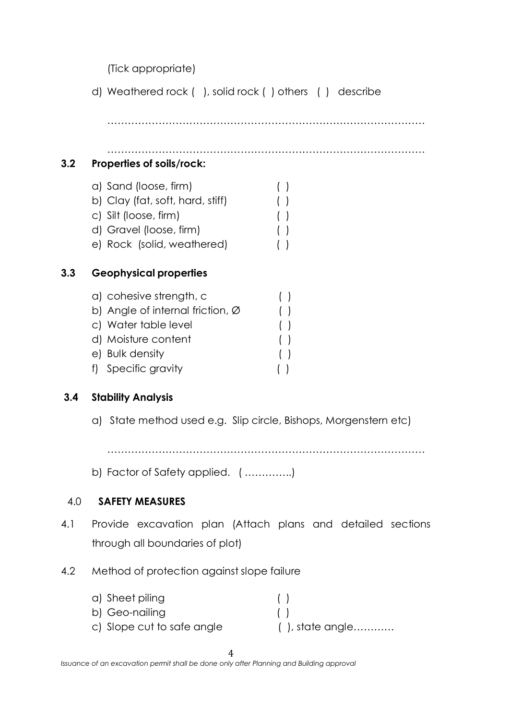(Tick appropriate)

d) Weathered rock ( ), solid rock ( ) others ( ) describe

…………………………………………………………………………………

…………………………………………………………………………………

## **3.2 Properties ofsoils/rock:**

- a) Sand (loose, firm) ( )
- b) Clay (fat, soft, hard, stiff) ( )
- c) Silt (loose, firm) ( )
- d) Gravel (loose, firm) ( )
- e) Rock (solid, weathered) ( )

## **3.3 Geophysical properties**

- a) cohesive strength, c ( ) b) Angle of internal friction,  $\varnothing$  ()
- c) Water table level ( )
- d) Moisture content ( )
- e) Bulk density ( )
- f) Specific gravity ( )

## **3.4 Stability Analysis**

a) State method used e.g. Slip circle, Bishops, Morgenstern etc)

…………………………………………………………………………………

b) Factor of Safety applied. ( …………..)

## 4.0 **SAFETY MEASURES**

- 4.1 Provide excavation plan (Attach plans and detailed sections through all boundaries of plot)
- 4.2 Method of protection against slope failure

| a) Sheet piling            |                        |
|----------------------------|------------------------|
| b) Geo-nailing             | $\left( \quad \right)$ |
| c) Slope cut to safe angle | ( ), state angle       |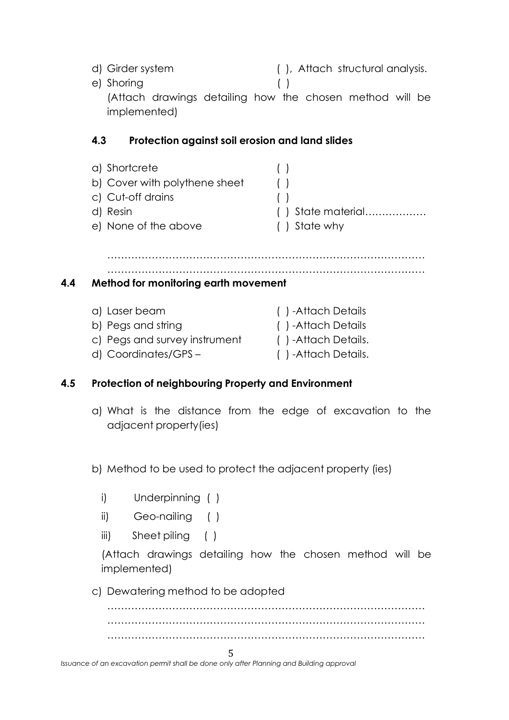d) Girder system ( ), Attach structural analysis. e) Shoring ( ) (Attach drawings detailing how the chosen method will be implemented)

#### **4.3 Protection against soil erosion and land slides**

| a) Shortcrete                 |                      |
|-------------------------------|----------------------|
| b) Cover with polythene sheet |                      |
| c) Cut-off drains             |                      |
| d) Resin                      | $( )$ State material |
| e) None of the above          | () State why         |

………………………………………………………………………………… …………………………………………………………………………………

**4.4 Method for monitoring earth movement**

| a) Laser beam                 | ()-Attach Details  |
|-------------------------------|--------------------|
| b) Pegs and string            | ()-Attach Details  |
| c) Pegs and survey instrument | ()-Attach Details. |
| d) Coordinates/GPS-           | ()-Attach Details. |

### **4.5 Protection of neighbouring Property and Environment**

a) What is the distance from the edge of excavation to the adjacent property(ies)

b) Method to be used to protect the adjacent property (ies)

- i) Underpinning ( )
- ii) Geo-nailing ( )
- iii) Sheet piling ( )

(Attach drawings detailing how the chosen method will be implemented)

c) Dewatering method to be adopted

5 *Issuance of an excavation permit shall be done only after Planning and Building approval*